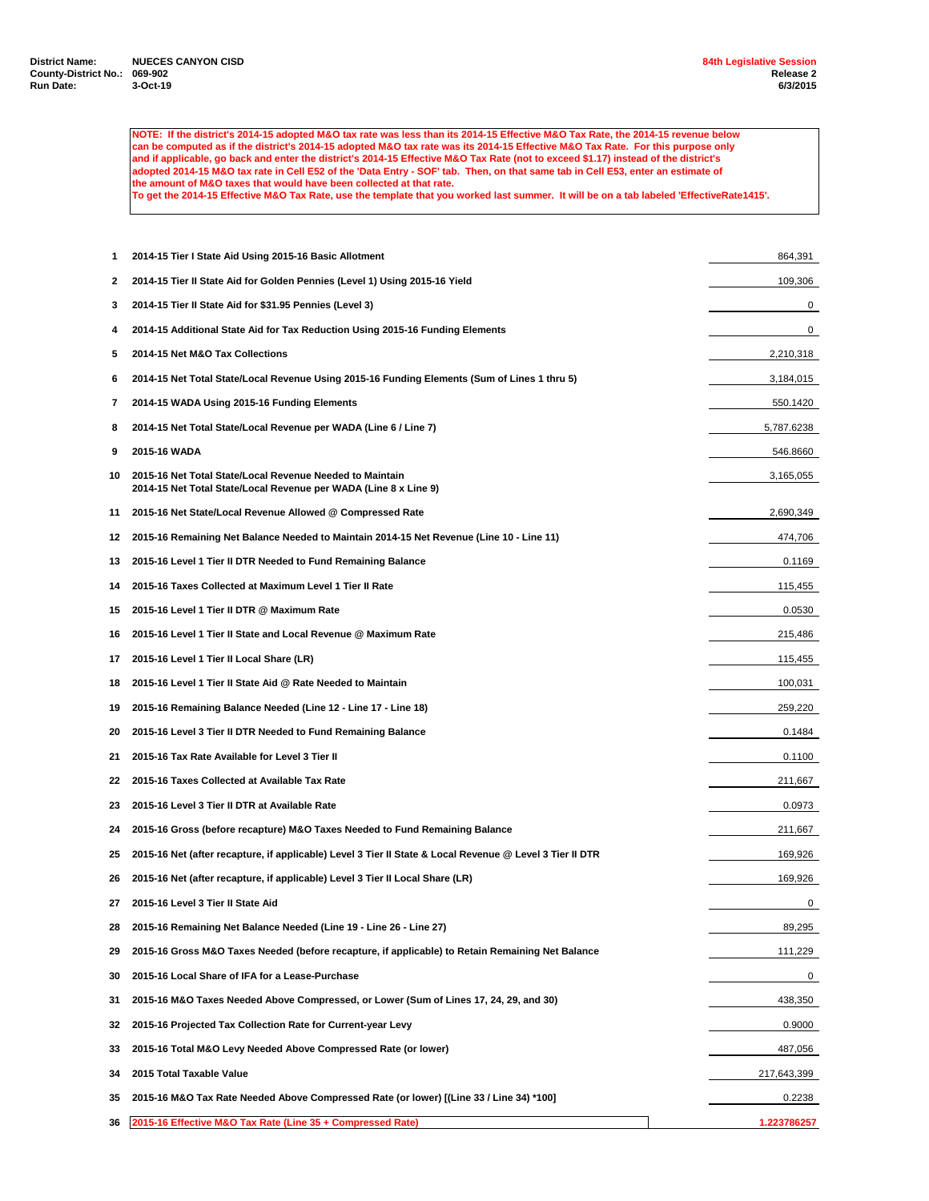**NOTE: If the district's 2014-15 adopted M&O tax rate was less than its 2014-15 Effective M&O Tax Rate, the 2014-15 revenue below can be computed as if the district's 2014-15 adopted M&O tax rate was its 2014-15 Effective M&O Tax Rate. For this purpose only and if applicable, go back and enter the district's 2014-15 Effective M&O Tax Rate (not to exceed \$1.17) instead of the district's adopted 2014-15 M&O tax rate in Cell E52 of the 'Data Entry - SOF' tab. Then, on that same tab in Cell E53, enter an estimate of the amount of M&O taxes that would have been collected at that rate.**

**To get the 2014-15 Effective M&O Tax Rate, use the template that you worked last summer. It will be on a tab labeled 'EffectiveRate1415'.**

| 1  | 2014-15 Tier I State Aid Using 2015-16 Basic Allotment                                                                       | 864,391     |
|----|------------------------------------------------------------------------------------------------------------------------------|-------------|
| 2  | 2014-15 Tier II State Aid for Golden Pennies (Level 1) Using 2015-16 Yield                                                   | 109,306     |
| 3  | 2014-15 Tier II State Aid for \$31.95 Pennies (Level 3)                                                                      | 0           |
| 4  | 2014-15 Additional State Aid for Tax Reduction Using 2015-16 Funding Elements                                                | 0           |
| 5  | 2014-15 Net M&O Tax Collections                                                                                              | 2,210,318   |
| 6  | 2014-15 Net Total State/Local Revenue Using 2015-16 Funding Elements (Sum of Lines 1 thru 5)                                 | 3,184,015   |
| 7  | 2014-15 WADA Using 2015-16 Funding Elements                                                                                  | 550.1420    |
| 8  | 2014-15 Net Total State/Local Revenue per WADA (Line 6 / Line 7)                                                             | 5,787.6238  |
| 9  | 2015-16 WADA                                                                                                                 | 546.8660    |
| 10 | 2015-16 Net Total State/Local Revenue Needed to Maintain<br>2014-15 Net Total State/Local Revenue per WADA (Line 8 x Line 9) | 3,165,055   |
| 11 | 2015-16 Net State/Local Revenue Allowed @ Compressed Rate                                                                    | 2,690,349   |
| 12 | 2015-16 Remaining Net Balance Needed to Maintain 2014-15 Net Revenue (Line 10 - Line 11)                                     | 474,706     |
| 13 | 2015-16 Level 1 Tier II DTR Needed to Fund Remaining Balance                                                                 | 0.1169      |
| 14 | 2015-16 Taxes Collected at Maximum Level 1 Tier II Rate                                                                      | 115,455     |
| 15 | 2015-16 Level 1 Tier II DTR @ Maximum Rate                                                                                   | 0.0530      |
| 16 | 2015-16 Level 1 Tier II State and Local Revenue @ Maximum Rate                                                               | 215,486     |
| 17 | 2015-16 Level 1 Tier II Local Share (LR)                                                                                     | 115,455     |
| 18 | 2015-16 Level 1 Tier II State Aid @ Rate Needed to Maintain                                                                  | 100,031     |
| 19 | 2015-16 Remaining Balance Needed (Line 12 - Line 17 - Line 18)                                                               | 259,220     |
| 20 | 2015-16 Level 3 Tier II DTR Needed to Fund Remaining Balance                                                                 | 0.1484      |
| 21 | 2015-16 Tax Rate Available for Level 3 Tier II                                                                               | 0.1100      |
| 22 | 2015-16 Taxes Collected at Available Tax Rate                                                                                | 211,667     |
| 23 | 2015-16 Level 3 Tier II DTR at Available Rate                                                                                | 0.0973      |
| 24 | 2015-16 Gross (before recapture) M&O Taxes Needed to Fund Remaining Balance                                                  | 211,667     |
| 25 | 2015-16 Net (after recapture, if applicable) Level 3 Tier II State & Local Revenue @ Level 3 Tier II DTR                     | 169,926     |
| 26 | 2015-16 Net (after recapture, if applicable) Level 3 Tier II Local Share (LR)                                                | 169,926     |
| 27 | 2015-16 Level 3 Tier II State Aid                                                                                            | 0           |
| 28 | 2015-16 Remaining Net Balance Needed (Line 19 - Line 26 - Line 27)                                                           | 89,295      |
| 29 | 2015-16 Gross M&O Taxes Needed (before recapture, if applicable) to Retain Remaining Net Balance                             | 111,229     |
| 30 | 2015-16 Local Share of IFA for a Lease-Purchase                                                                              | 0           |
| 31 | 2015-16 M&O Taxes Needed Above Compressed, or Lower (Sum of Lines 17, 24, 29, and 30)                                        | 438,350     |
| 32 | 2015-16 Projected Tax Collection Rate for Current-year Levy                                                                  | 0.9000      |
| 33 | 2015-16 Total M&O Levy Needed Above Compressed Rate (or lower)                                                               | 487,056     |
| 34 | 2015 Total Taxable Value                                                                                                     | 217,643,399 |
| 35 | 2015-16 M&O Tax Rate Needed Above Compressed Rate (or lower) [(Line 33 / Line 34) *100]                                      | 0.2238      |
| 36 | 2015-16 Effective M&O Tax Rate (Line 35 + Compressed Rate)                                                                   | 1.223786257 |
|    |                                                                                                                              |             |